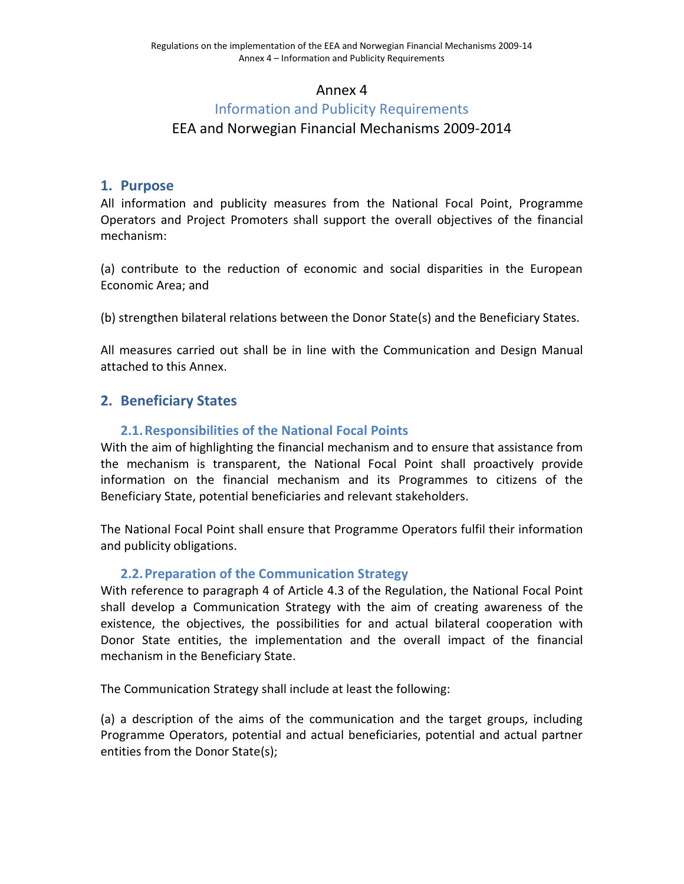## Annex 4

# Information and Publicity Requirements

## EEA and Norwegian Financial Mechanisms 2009-2014

#### **1. Purpose**

All information and publicity measures from the National Focal Point, Programme Operators and Project Promoters shall support the overall objectives of the financial mechanism:

(a) contribute to the reduction of economic and social disparities in the European Economic Area; and

(b) strengthen bilateral relations between the Donor State(s) and the Beneficiary States.

All measures carried out shall be in line with the Communication and Design Manual attached to this Annex.

## **2. Beneficiary States**

#### **2.1.Responsibilities of the National Focal Points**

With the aim of highlighting the financial mechanism and to ensure that assistance from the mechanism is transparent, the National Focal Point shall proactively provide information on the financial mechanism and its Programmes to citizens of the Beneficiary State, potential beneficiaries and relevant stakeholders.

The National Focal Point shall ensure that Programme Operators fulfil their information and publicity obligations.

#### **2.2.Preparation of the Communication Strategy**

With reference to paragraph 4 of Article 4.3 of the Regulation, the National Focal Point shall develop a Communication Strategy with the aim of creating awareness of the existence, the objectives, the possibilities for and actual bilateral cooperation with Donor State entities, the implementation and the overall impact of the financial mechanism in the Beneficiary State.

The Communication Strategy shall include at least the following:

(a) a description of the aims of the communication and the target groups, including Programme Operators, potential and actual beneficiaries, potential and actual partner entities from the Donor State(s);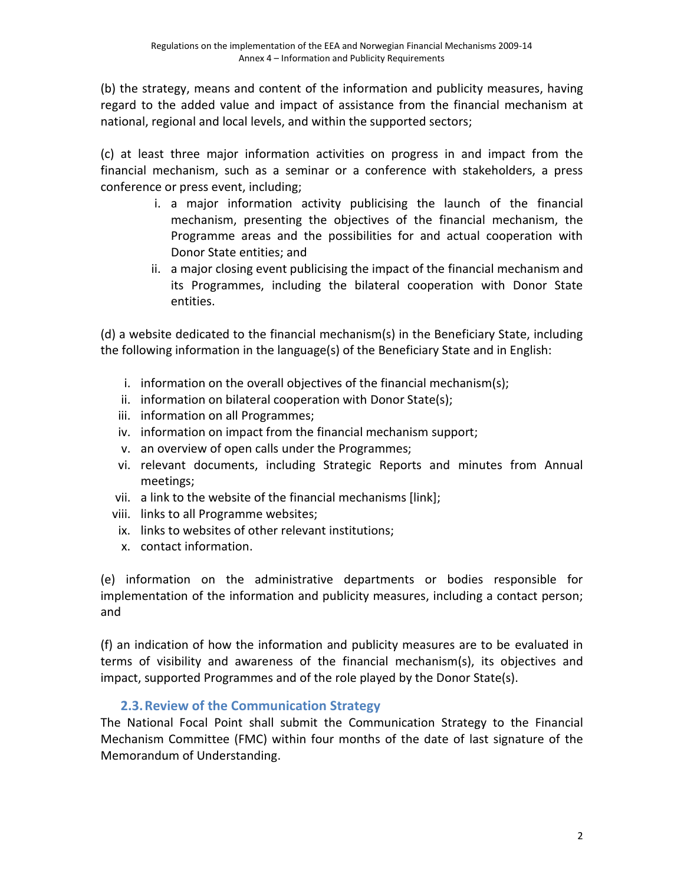(b) the strategy, means and content of the information and publicity measures, having regard to the added value and impact of assistance from the financial mechanism at national, regional and local levels, and within the supported sectors;

(c) at least three major information activities on progress in and impact from the financial mechanism, such as a seminar or a conference with stakeholders, a press conference or press event, including;

- i. a major information activity publicising the launch of the financial mechanism, presenting the objectives of the financial mechanism, the Programme areas and the possibilities for and actual cooperation with Donor State entities; and
- ii. a major closing event publicising the impact of the financial mechanism and its Programmes, including the bilateral cooperation with Donor State entities.

(d) a website dedicated to the financial mechanism(s) in the Beneficiary State, including the following information in the language(s) of the Beneficiary State and in English:

- i. information on the overall objectives of the financial mechanism(s);
- ii. information on bilateral cooperation with Donor State(s);
- iii. information on all Programmes;
- iv. information on impact from the financial mechanism support;
- v. an overview of open calls under the Programmes;
- vi. relevant documents, including Strategic Reports and minutes from Annual meetings;
- vii. a link to the website of the financial mechanisms [link];
- viii. links to all Programme websites;
- ix. links to websites of other relevant institutions;
- x. contact information.

(e) information on the administrative departments or bodies responsible for implementation of the information and publicity measures, including a contact person; and

(f) an indication of how the information and publicity measures are to be evaluated in terms of visibility and awareness of the financial mechanism(s), its objectives and impact, supported Programmes and of the role played by the Donor State(s).

## **2.3.Review of the Communication Strategy**

The National Focal Point shall submit the Communication Strategy to the Financial Mechanism Committee (FMC) within four months of the date of last signature of the Memorandum of Understanding.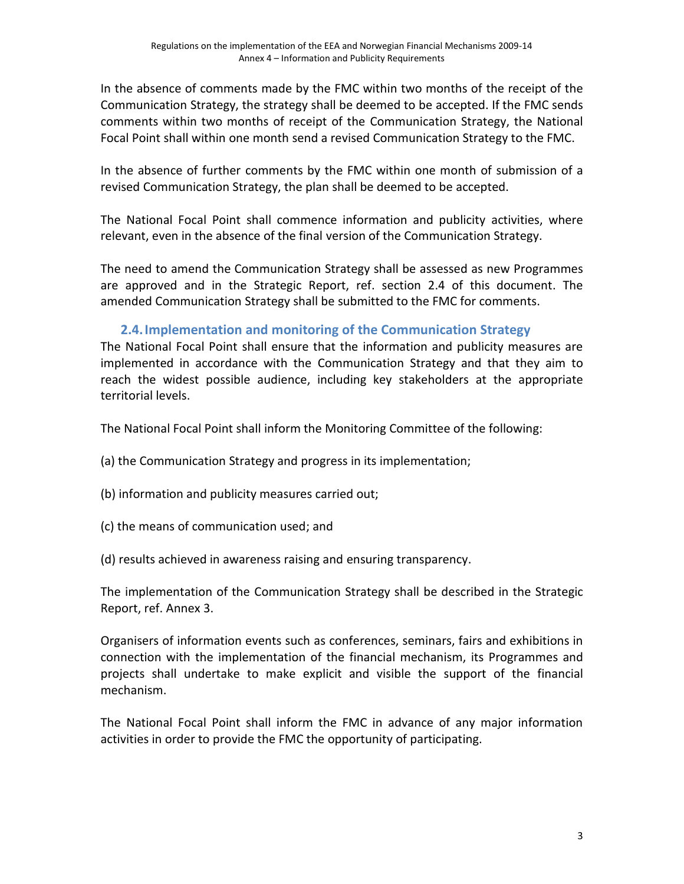In the absence of comments made by the FMC within two months of the receipt of the Communication Strategy, the strategy shall be deemed to be accepted. If the FMC sends comments within two months of receipt of the Communication Strategy, the National Focal Point shall within one month send a revised Communication Strategy to the FMC.

In the absence of further comments by the FMC within one month of submission of a revised Communication Strategy, the plan shall be deemed to be accepted.

The National Focal Point shall commence information and publicity activities, where relevant, even in the absence of the final version of the Communication Strategy.

The need to amend the Communication Strategy shall be assessed as new Programmes are approved and in the Strategic Report, ref. section 2.4 of this document. The amended Communication Strategy shall be submitted to the FMC for comments.

## **2.4.Implementation and monitoring of the Communication Strategy**

The National Focal Point shall ensure that the information and publicity measures are implemented in accordance with the Communication Strategy and that they aim to reach the widest possible audience, including key stakeholders at the appropriate territorial levels.

The National Focal Point shall inform the Monitoring Committee of the following:

- (a) the Communication Strategy and progress in its implementation;
- (b) information and publicity measures carried out;
- (c) the means of communication used; and
- (d) results achieved in awareness raising and ensuring transparency.

The implementation of the Communication Strategy shall be described in the Strategic Report, ref. Annex 3.

Organisers of information events such as conferences, seminars, fairs and exhibitions in connection with the implementation of the financial mechanism, its Programmes and projects shall undertake to make explicit and visible the support of the financial mechanism.

The National Focal Point shall inform the FMC in advance of any major information activities in order to provide the FMC the opportunity of participating.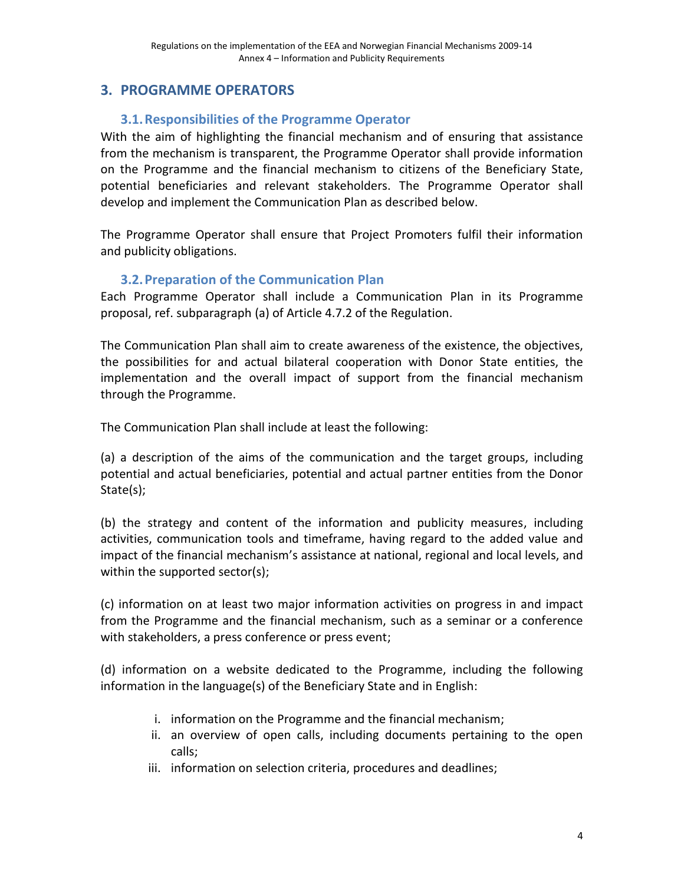# **3. PROGRAMME OPERATORS**

## **3.1.Responsibilities of the Programme Operator**

With the aim of highlighting the financial mechanism and of ensuring that assistance from the mechanism is transparent, the Programme Operator shall provide information on the Programme and the financial mechanism to citizens of the Beneficiary State, potential beneficiaries and relevant stakeholders. The Programme Operator shall develop and implement the Communication Plan as described below.

The Programme Operator shall ensure that Project Promoters fulfil their information and publicity obligations.

## **3.2.Preparation of the Communication Plan**

Each Programme Operator shall include a Communication Plan in its Programme proposal, ref. subparagraph (a) of Article 4.7.2 of the Regulation.

The Communication Plan shall aim to create awareness of the existence, the objectives, the possibilities for and actual bilateral cooperation with Donor State entities, the implementation and the overall impact of support from the financial mechanism through the Programme.

The Communication Plan shall include at least the following:

(a) a description of the aims of the communication and the target groups, including potential and actual beneficiaries, potential and actual partner entities from the Donor State(s);

(b) the strategy and content of the information and publicity measures, including activities, communication tools and timeframe, having regard to the added value and impact of the financial mechanism's assistance at national, regional and local levels, and within the supported sector(s);

(c) information on at least two major information activities on progress in and impact from the Programme and the financial mechanism, such as a seminar or a conference with stakeholders, a press conference or press event;

(d) information on a website dedicated to the Programme, including the following information in the language(s) of the Beneficiary State and in English:

- i. information on the Programme and the financial mechanism;
- ii. an overview of open calls, including documents pertaining to the open calls;
- iii. information on selection criteria, procedures and deadlines;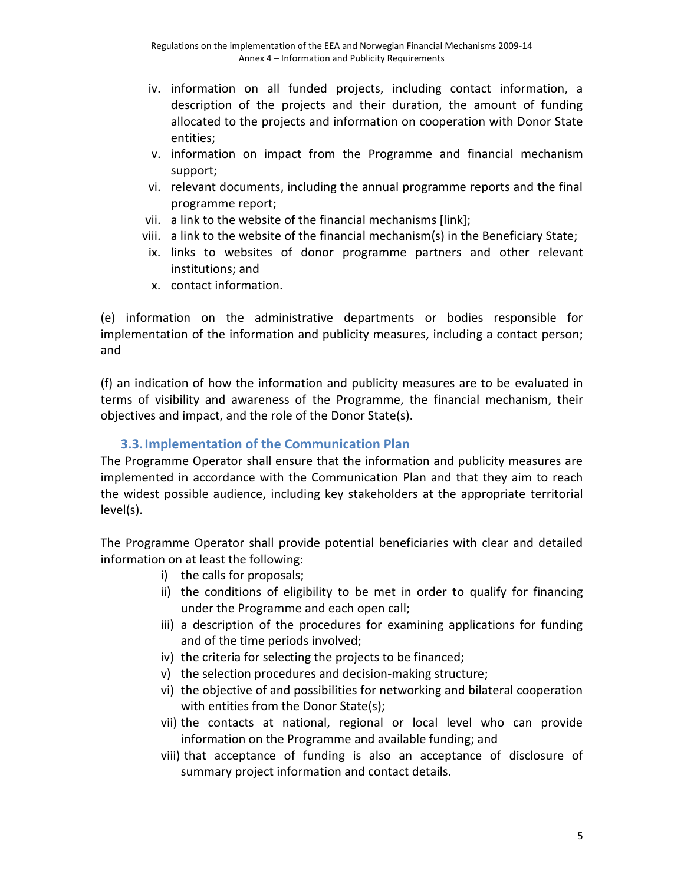- iv. information on all funded projects, including contact information, a description of the projects and their duration, the amount of funding allocated to the projects and information on cooperation with Donor State entities;
- v. information on impact from the Programme and financial mechanism support;
- vi. relevant documents, including the annual programme reports and the final programme report;
- vii. a link to the website of the financial mechanisms [link];
- viii. a link to the website of the financial mechanism(s) in the Beneficiary State;
- ix. links to websites of donor programme partners and other relevant institutions; and
- x. contact information.

(e) information on the administrative departments or bodies responsible for implementation of the information and publicity measures, including a contact person; and

(f) an indication of how the information and publicity measures are to be evaluated in terms of visibility and awareness of the Programme, the financial mechanism, their objectives and impact, and the role of the Donor State(s).

#### **3.3.Implementation of the Communication Plan**

The Programme Operator shall ensure that the information and publicity measures are implemented in accordance with the Communication Plan and that they aim to reach the widest possible audience, including key stakeholders at the appropriate territorial level(s).

The Programme Operator shall provide potential beneficiaries with clear and detailed information on at least the following:

- i) the calls for proposals;
- ii) the conditions of eligibility to be met in order to qualify for financing under the Programme and each open call;
- iii) a description of the procedures for examining applications for funding and of the time periods involved;
- iv) the criteria for selecting the projects to be financed;
- v) the selection procedures and decision-making structure;
- vi) the objective of and possibilities for networking and bilateral cooperation with entities from the Donor State(s);
- vii) the contacts at national, regional or local level who can provide information on the Programme and available funding; and
- viii) that acceptance of funding is also an acceptance of disclosure of summary project information and contact details.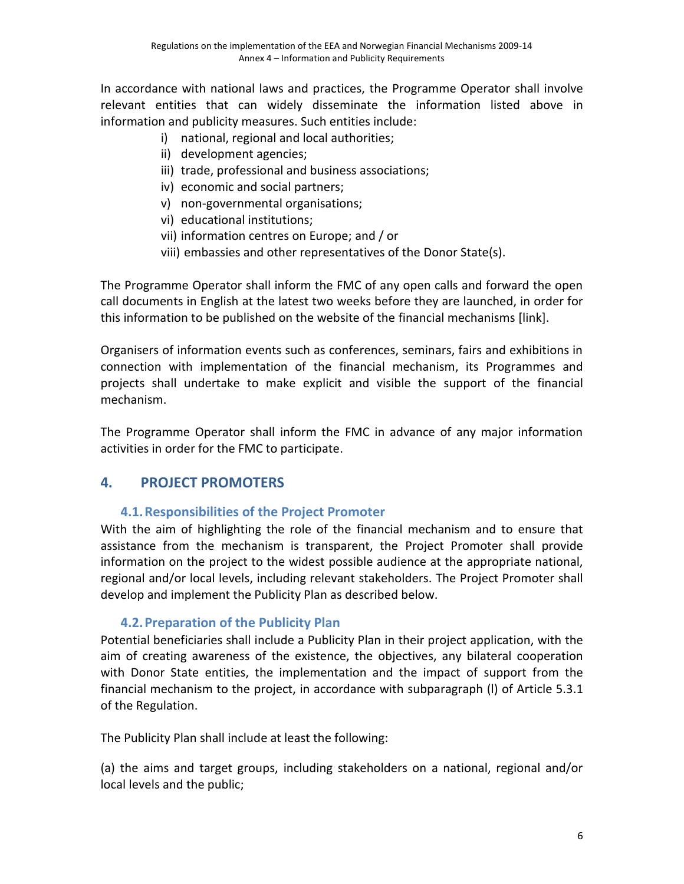In accordance with national laws and practices, the Programme Operator shall involve relevant entities that can widely disseminate the information listed above in information and publicity measures. Such entities include:

- i) national, regional and local authorities;
- ii) development agencies;
- iii) trade, professional and business associations;
- iv) economic and social partners;
- v) non-governmental organisations;
- vi) educational institutions;
- vii) information centres on Europe; and / or
- viii) embassies and other representatives of the Donor State(s).

The Programme Operator shall inform the FMC of any open calls and forward the open call documents in English at the latest two weeks before they are launched, in order for this information to be published on the website of the financial mechanisms [link].

Organisers of information events such as conferences, seminars, fairs and exhibitions in connection with implementation of the financial mechanism, its Programmes and projects shall undertake to make explicit and visible the support of the financial mechanism.

The Programme Operator shall inform the FMC in advance of any major information activities in order for the FMC to participate.

## **4. PROJECT PROMOTERS**

#### **4.1.Responsibilities of the Project Promoter**

With the aim of highlighting the role of the financial mechanism and to ensure that assistance from the mechanism is transparent, the Project Promoter shall provide information on the project to the widest possible audience at the appropriate national, regional and/or local levels, including relevant stakeholders. The Project Promoter shall develop and implement the Publicity Plan as described below.

#### **4.2.Preparation of the Publicity Plan**

Potential beneficiaries shall include a Publicity Plan in their project application, with the aim of creating awareness of the existence, the objectives, any bilateral cooperation with Donor State entities, the implementation and the impact of support from the financial mechanism to the project, in accordance with subparagraph (l) of Article 5.3.1 of the Regulation.

The Publicity Plan shall include at least the following:

(a) the aims and target groups, including stakeholders on a national, regional and/or local levels and the public;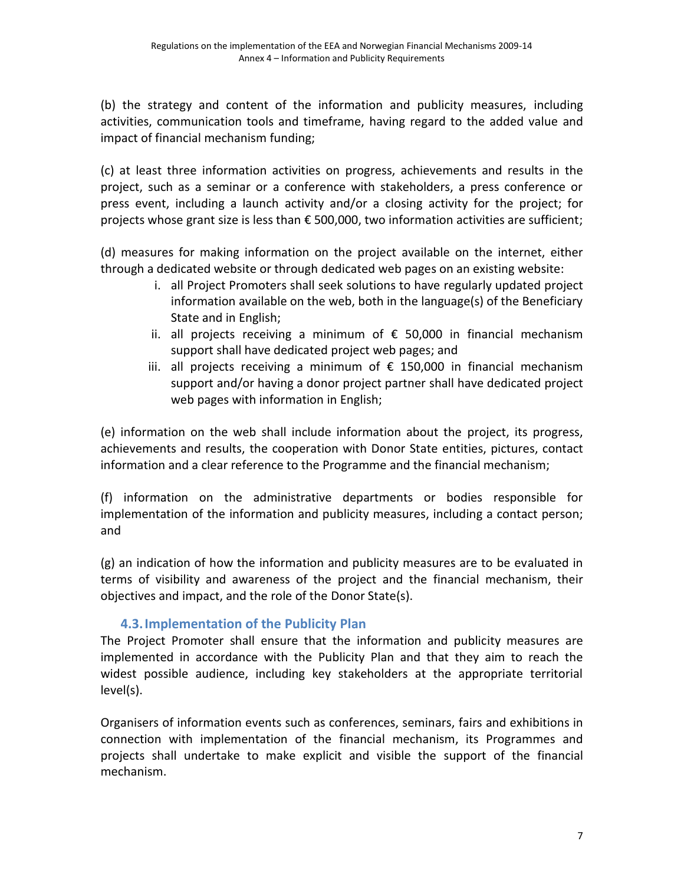(b) the strategy and content of the information and publicity measures, including activities, communication tools and timeframe, having regard to the added value and impact of financial mechanism funding;

(c) at least three information activities on progress, achievements and results in the project, such as a seminar or a conference with stakeholders, a press conference or press event, including a launch activity and/or a closing activity for the project; for projects whose grant size is less than € 500,000, two information activities are sufficient;

(d) measures for making information on the project available on the internet, either through a dedicated website or through dedicated web pages on an existing website:

- i. all Project Promoters shall seek solutions to have regularly updated project information available on the web, both in the language(s) of the Beneficiary State and in English;
- ii. all projects receiving a minimum of  $€$  50,000 in financial mechanism support shall have dedicated project web pages; and
- iii. all projects receiving a minimum of € 150,000 in financial mechanism support and/or having a donor project partner shall have dedicated project web pages with information in English;

(e) information on the web shall include information about the project, its progress, achievements and results, the cooperation with Donor State entities, pictures, contact information and a clear reference to the Programme and the financial mechanism;

(f) information on the administrative departments or bodies responsible for implementation of the information and publicity measures, including a contact person; and

(g) an indication of how the information and publicity measures are to be evaluated in terms of visibility and awareness of the project and the financial mechanism, their objectives and impact, and the role of the Donor State(s).

## **4.3.Implementation of the Publicity Plan**

The Project Promoter shall ensure that the information and publicity measures are implemented in accordance with the Publicity Plan and that they aim to reach the widest possible audience, including key stakeholders at the appropriate territorial level(s).

Organisers of information events such as conferences, seminars, fairs and exhibitions in connection with implementation of the financial mechanism, its Programmes and projects shall undertake to make explicit and visible the support of the financial mechanism.